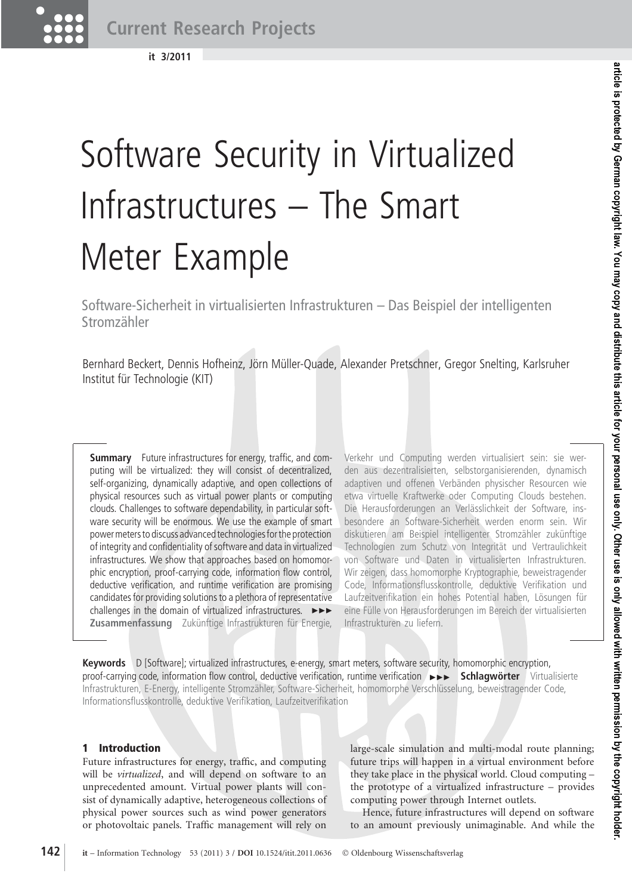**Current Research Projects**

**it 3/2011**

# Software Security in Virtualized Infrastructures – The Smart Meter Example

Software-Sicherheit in virtualisierten Infrastrukturen – Das Beispiel der intelligenten Stromzähler

Bernhard Beckert, Dennis Hofheinz, Jörn Müller-Quade, Alexander Pretschner, Gregor Snelting, Karlsruher Institut für Technologie (KIT)

**Summary** Future infrastructures for energy, traffic, and computing will be virtualized: they will consist of decentralized, self-organizing, dynamically adaptive, and open collections of physical resources such as virtual power plants or computing clouds. Challenges to software dependability, in particular software security will be enormous. We use the example of smart power meters to discuss advanced technologies for the protection of integrity and confidentiality of software and data in virtualized infrastructures. We show that approaches based on homomorphic encryption, proof-carrying code, information flow control, deductive verification, and runtime verification are promising candidates for providing solutions to a plethora of representative challenges in the domain of virtualized infrastructures.  $\rightarrow\rightarrow\rightarrow$ **Zusammenfassung** Zukünftige Infrastrukturen für Energie,

Verkehr und Computing werden virtualisiert sein: sie werden aus dezentralisierten, selbstorganisierenden, dynamisch adaptiven und offenen Verbänden physischer Resourcen wie etwa virtuelle Kraftwerke oder Computing Clouds bestehen. Die Herausforderungen an Verlässlichkeit der Software, insbesondere an Software-Sicherheit werden enorm sein. Wir diskutieren am Beispiel intelligenter Stromzähler zukünftige Technologien zum Schutz von Integrität und Vertraulichkeit von Software und Daten in virtualisierten Infrastrukturen. Wir zeigen, dass homomorphe Kryptographie, beweistragender Code, Informationsflusskontrolle, deduktive Verifikation und Laufzeitverifikation ein hohes Potential haben, Lösungen für eine Fülle von Herausforderungen im Bereich der virtualisierten Infrastrukturen zu liefern.

**Keywords** D [Software]; virtualized infrastructures, e-energy, smart meters, software security, homomorphic encryption, proof-carrying code, information flow control, deductive verification, runtime verification **>>> Schlagwörter** Virtualisierte Infrastrukturen, E-Energy, intelligente Stromzähler, Software-Sicherheit, homomorphe Verschlüsselung, beweistragender Code, Informationsflusskontrolle, deduktive Verifikation, Laufzeitverifikation

#### 1 Introduction

Future infrastructures for energy, traffic, and computing will be *virtualized*, and will depend on software to an unprecedented amount. Virtual power plants will consist of dynamically adaptive, heterogeneous collections of physical power sources such as wind power generators or photovoltaic panels. Traffic management will rely on

large-scale simulation and multi-modal route planning; future trips will happen in a virtual environment before they take place in the physical world. Cloud computing – the prototype of a virtualized infrastructure – provides computing power through Internet outlets.

Hence, future infrastructures will depend on software to an amount previously unimaginable. And while the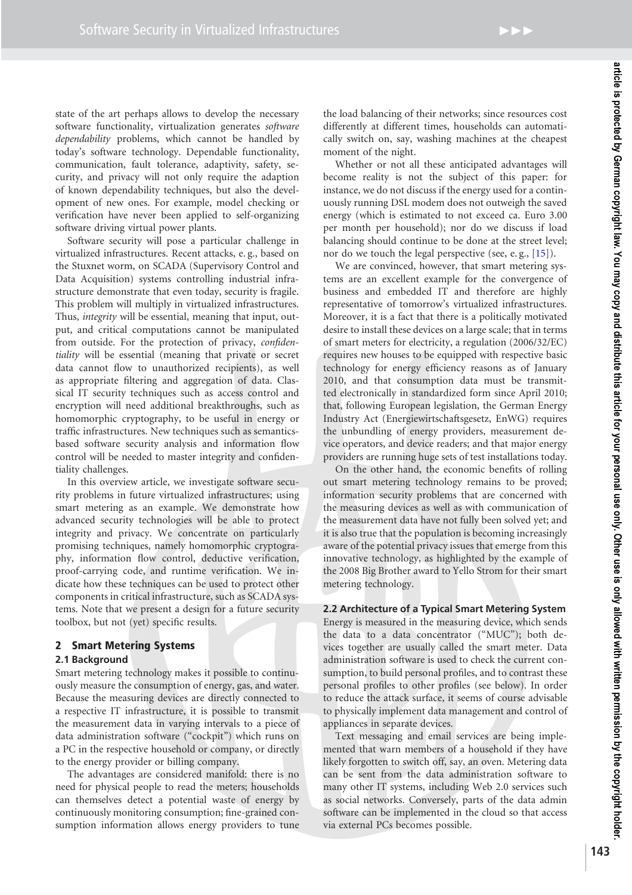state of the art perhaps allows to develop the necessary software functionality, virtualization generates *software dependability* problems, which cannot be handled by today's software technology. Dependable functionality, communication, fault tolerance, adaptivity, safety, security, and privacy will not only require the adaption of known dependability techniques, but also the development of new ones. For example, model checking or verification have never been applied to self-organizing software driving virtual power plants.

Software security will pose a particular challenge in virtualized infrastructures. Recent attacks, e. g., based on the Stuxnet worm, on SCADA (Supervisory Control and Data Acquisition) systems controlling industrial infrastructure demonstrate that even today, security is fragile. This problem will multiply in virtualized infrastructures. Thus, *integrity* will be essential, meaning that input, output, and critical computations cannot be manipulated from outside. For the protection of privacy, *confidentiality* will be essential (meaning that private or secret data cannot flow to unauthorized recipients), as well as appropriate filtering and aggregation of data. Classical IT security techniques such as access control and encryption will need additional breakthroughs, such as homomorphic cryptography, to be useful in energy or traffic infrastructures. New techniques such as semanticsbased software security analysis and information flow control will be needed to master integrity and confidentiality challenges.

In this overview article, we investigate software security problems in future virtualized infrastructures; using smart metering as an example. We demonstrate how advanced security technologies will be able to protect integrity and privacy. We concentrate on particularly promising techniques, namely homomorphic cryptography, information flow control, deductive verification, proof-carrying code, and runtime verification. We indicate how these techniques can be used to protect other components in critical infrastructure, such as SCADA systems. Note that we present a design for a future security toolbox, but not (yet) specific results.

#### 2 Smart Metering Systems

#### **2.1 Background**

Smart metering technology makes it possible to continuously measure the consumption of energy, gas, and water. Because the measuring devices are directly connected to a respective IT infrastructure, it is possible to transmit the measurement data in varying intervals to a piece of data administration software ("cockpit") which runs on a PC in the respective household or company, or directly to the energy provider or billing company.

The advantages are considered manifold: there is no need for physical people to read the meters; households can themselves detect a potential waste of energy by continuously monitoring consumption; fine-grained consumption information allows energy providers to tune

the load balancing of their networks; since resources cost differently at different times, households can automatically switch on, say, washing machines at the cheapest moment of the night.

Whether or not all these anticipated advantages will become reality is not the subject of this paper: for instance, we do not discuss if the energy used for a continuously running DSL modem does not outweigh the saved energy (which is estimated to not exceed ca. Euro 3.00 per month per household); nor do we discuss if load balancing should continue to be done at the street level; nor do we touch the legal perspective (see, e. g., [\[15\]](#page-8-0)).

We are convinced, however, that smart metering systems are an excellent example for the convergence of business and embedded IT and therefore are highly representative of tomorrow's virtualized infrastructures. Moreover, it is a fact that there is a politically motivated desire to install these devices on a large scale; that in terms of smart meters for electricity, a regulation (2006/32/EC) requires new houses to be equipped with respective basic technology for energy efficiency reasons as of January 2010, and that consumption data must be transmitted electronically in standardized form since April 2010; that, following European legislation, the German Energy Industry Act (Energiewirtschaftsgesetz, EnWG) requires the unbundling of energy providers, measurement device operators, and device readers; and that major energy providers are running huge sets of test installations today.

On the other hand, the economic benefits of rolling out smart metering technology remains to be proved; information security problems that are concerned with the measuring devices as well as with communication of the measurement data have not fully been solved yet; and it is also true that the population is becoming increasingly aware of the potential privacy issues that emerge from this innovative technology, as highlighted by the example of the 2008 Big Brother award to Yello Strom for their smart metering technology.

#### **2.2 Architecture of a Typical Smart Metering System**

Energy is measured in the measuring device, which sends the data to a data concentrator ("MUC"); both devices together are usually called the smart meter. Data administration software is used to check the current consumption, to build personal profiles, and to contrast these personal profiles to other profiles (see below). In order to reduce the attack surface, it seems of course advisable to physically implement data management and control of appliances in separate devices.

Text messaging and email services are being implemented that warn members of a household if they have likely forgotten to switch off, say, an oven. Metering data can be sent from the data administration software to many other IT systems, including Web 2.0 services such as social networks. Conversely, parts of the data admin software can be implemented in the cloud so that access via external PCs becomes possible.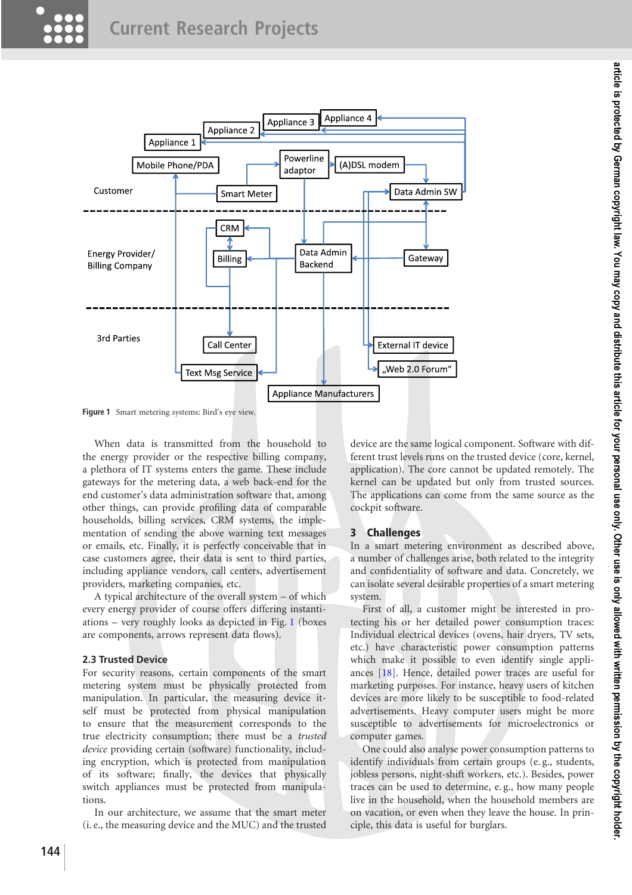

<span id="page-2-0"></span>**Figure 1** Smart metering systems: Bird's eye view.

When data is transmitted from the household to the energy provider or the respective billing company, a plethora of IT systems enters the game. These include gateways for the metering data, a web back-end for the end customer's data administration software that, among other things, can provide profiling data of comparable households, billing services, CRM systems, the implementation of sending the above warning text messages or emails, etc. Finally, it is perfectly conceivable that in case customers agree, their data is sent to third parties, including appliance vendors, call centers, advertisement providers, marketing companies, etc.

A typical architecture of the overall system – of which every energy provider of course offers differing instantiations – very roughly looks as depicted in Fig. [1](#page-2-0) (boxes are components, arrows represent data flows).

#### <span id="page-2-1"></span>**2.3 Trusted Device**

For security reasons, certain components of the smart metering system must be physically protected from manipulation. In particular, the measuring device itself must be protected from physical manipulation to ensure that the measurement corresponds to the true electricity consumption; there must be a *trusted device* providing certain (software) functionality, including encryption, which is protected from manipulation of its software; finally, the devices that physically switch appliances must be protected from manipulations.

In our architecture, we assume that the smart meter (i. e., the measuring device and the MUC) and the trusted device are the same logical component. Software with different trust levels runs on the trusted device (core, kernel, application). The core cannot be updated remotely. The kernel can be updated but only from trusted sources. The applications can come from the same source as the cockpit software.

#### <span id="page-2-2"></span>3 Challenges

In a smart metering environment as described above, a number of challenges arise, both related to the integrity and confidentiality of software and data. Concretely, we can isolate several desirable properties of a smart metering system.

First of all, a customer might be interested in protecting his or her detailed power consumption traces: Individual electrical devices (ovens, hair dryers, TV sets, etc.) have characteristic power consumption patterns which make it possible to even identify single appliances [\[18\]](#page-8-1). Hence, detailed power traces are useful for marketing purposes. For instance, heavy users of kitchen devices are more likely to be susceptible to food-related advertisements. Heavy computer users might be more susceptible to advertisements for microelectronics or computer games.

One could also analyse power consumption patterns to identify individuals from certain groups (e. g., students, jobless persons, night-shift workers, etc.). Besides, power traces can be used to determine, e. g., how many people live in the household, when the household members are on vacation, or even when they leave the house. In principle, this data is useful for burglars.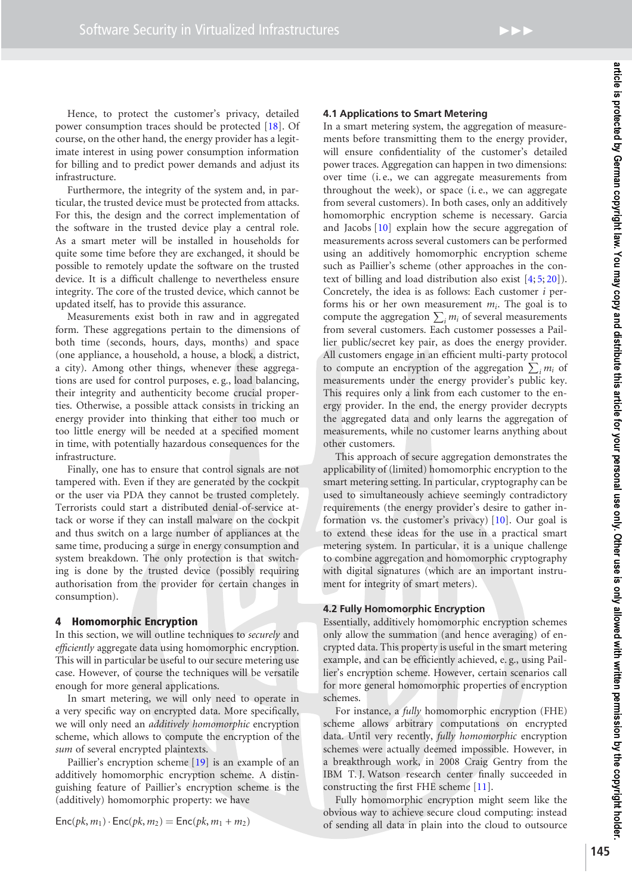Hence, to protect the customer's privacy, detailed power consumption traces should be protected [\[18\]](#page-8-1). Of course, on the other hand, the energy provider has a legitimate interest in using power consumption information for billing and to predict power demands and adjust its infrastructure.

Furthermore, the integrity of the system and, in particular, the trusted device must be protected from attacks. For this, the design and the correct implementation of the software in the trusted device play a central role. As a smart meter will be installed in households for quite some time before they are exchanged, it should be possible to remotely update the software on the trusted device. It is a difficult challenge to nevertheless ensure integrity. The core of the trusted device, which cannot be updated itself, has to provide this assurance.

Measurements exist both in raw and in aggregated form. These aggregations pertain to the dimensions of both time (seconds, hours, days, months) and space (one appliance, a household, a house, a block, a district, a city). Among other things, whenever these aggregations are used for control purposes, e. g., load balancing, their integrity and authenticity become crucial properties. Otherwise, a possible attack consists in tricking an energy provider into thinking that either too much or too little energy will be needed at a specified moment in time, with potentially hazardous consequences for the infrastructure.

Finally, one has to ensure that control signals are not tampered with. Even if they are generated by the cockpit or the user via PDA they cannot be trusted completely. Terrorists could start a distributed denial-of-service attack or worse if they can install malware on the cockpit and thus switch on a large number of appliances at the same time, producing a surge in energy consumption and system breakdown. The only protection is that switching is done by the trusted device (possibly requiring authorisation from the provider for certain changes in consumption).

#### <span id="page-3-0"></span>4 Homomorphic Encryption

In this section, we will outline techniques to *securely* and *efficiently* aggregate data using homomorphic encryption. This will in particular be useful to our secure metering use case. However, of course the techniques will be versatile enough for more general applications.

In smart metering, we will only need to operate in a very specific way on encrypted data. More specifically, we will only need an *additively homomorphic* encryption scheme, which allows to compute the encryption of the *sum* of several encrypted plaintexts.

Paillier's encryption scheme [\[19\]](#page-8-2) is an example of an additively homomorphic encryption scheme. A distinguishing feature of Paillier's encryption scheme is the (additively) homomorphic property: we have

$$
Enc(pk, m_1) \cdot Enc(pk, m_2) = Enc(pk, m_1 + m_2)
$$

#### **4.1 Applications to Smart Metering**

In a smart metering system, the aggregation of measurements before transmitting them to the energy provider, will ensure confidentiality of the customer's detailed power traces. Aggregation can happen in two dimensions: over time (i. e., we can aggregate measurements from throughout the week), or space (i. e., we can aggregate from several customers). In both cases, only an additively homomorphic encryption scheme is necessary. Garcia and Jacobs [\[10\]](#page-8-3) explain how the secure aggregation of measurements across several customers can be performed using an additively homomorphic encryption scheme such as Paillier's scheme (other approaches in the context of billing and load distribution also exist [\[4;](#page-8-4) [5;](#page-8-5) [20\]](#page-8-6)). Concretely, the idea is as follows: Each customer *i* performs his or her own measurement *mi*. The goal is to compute the aggregation  $\sum_i m_i$  of several measurements from several customers. Each customer possesses a Paillier public/secret key pair, as does the energy provider. All customers engage in an efficient multi-party protocol to compute an encryption of the aggregation  $\sum_i m_i$  of measurements under the energy provider's public key. This requires only a link from each customer to the energy provider. In the end, the energy provider decrypts the aggregated data and only learns the aggregation of measurements, while no customer learns anything about other customers.

This approach of secure aggregation demonstrates the applicability of (limited) homomorphic encryption to the smart metering setting. In particular, cryptography can be used to simultaneously achieve seemingly contradictory requirements (the energy provider's desire to gather information vs. the customer's privacy) [\[10\]](#page-8-3). Our goal is to extend these ideas for the use in a practical smart metering system. In particular, it is a unique challenge to combine aggregation and homomorphic cryptography with digital signatures (which are an important instrument for integrity of smart meters).

#### **4.2 Fully Homomorphic Encryption**

Essentially, additively homomorphic encryption schemes only allow the summation (and hence averaging) of encrypted data. This property is useful in the smart metering example, and can be efficiently achieved, e. g., using Paillier's encryption scheme. However, certain scenarios call for more general homomorphic properties of encryption schemes.

For instance, a *fully* homomorphic encryption (FHE) scheme allows arbitrary computations on encrypted data. Until very recently, *fully homomorphic* encryption schemes were actually deemed impossible. However, in a breakthrough work, in 2008 Craig Gentry from the IBM T. J. Watson research center finally succeeded in constructing the first FHE scheme [\[11\]](#page-8-7).

Fully homomorphic encryption might seem like the obvious way to achieve secure cloud computing: instead of sending all data in plain into the cloud to outsource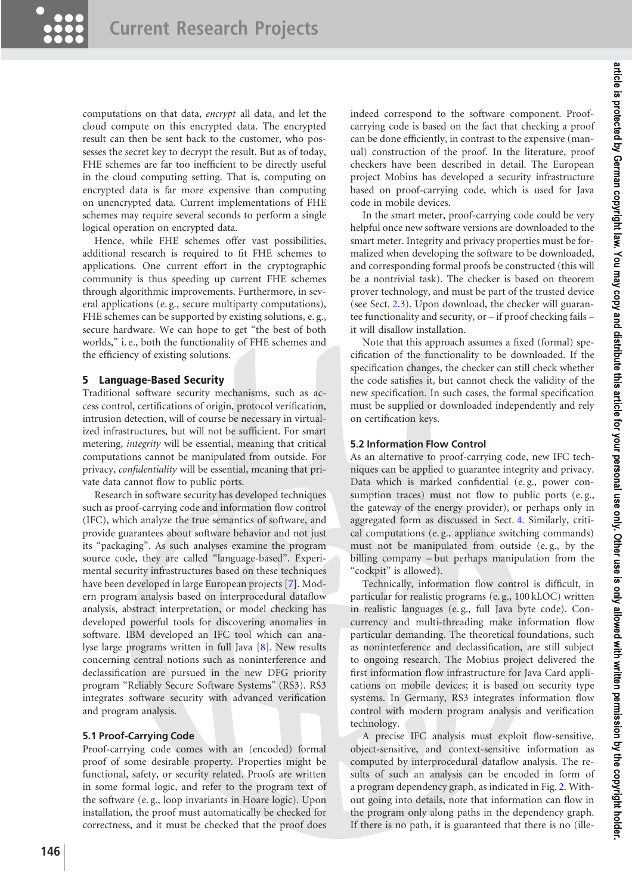computations on that data, *encrypt* all data, and let the cloud compute on this encrypted data. The encrypted result can then be sent back to the customer, who possesses the secret key to decrypt the result. But as of today, FHE schemes are far too inefficient to be directly useful in the cloud computing setting. That is, computing on encrypted data is far more expensive than computing on unencrypted data. Current implementations of FHE schemes may require several seconds to perform a single logical operation on encrypted data.

Hence, while FHE schemes offer vast possibilities, additional research is required to fit FHE schemes to applications. One current effort in the cryptographic community is thus speeding up current FHE schemes through algorithmic improvements. Furthermore, in several applications (e. g., secure multiparty computations), FHE schemes can be supported by existing solutions, e. g., secure hardware. We can hope to get "the best of both worlds," i. e., both the functionality of FHE schemes and the efficiency of existing solutions.

#### 5 Language-Based Security

Traditional software security mechanisms, such as access control, certifications of origin, protocol verification, intrusion detection, will of course be necessary in virtualized infrastructures, but will not be sufficient. For smart metering, *integrity* will be essential, meaning that critical computations cannot be manipulated from outside. For privacy, *confidentiality* will be essential, meaning that private data cannot flow to public ports.

Research in software security has developed techniques such as proof-carrying code and information flow control (IFC), which analyze the true semantics of software, and provide guarantees about software behavior and not just its "packaging". As such analyses examine the program source code, they are called "language-based". Experimental security infrastructures based on these techniques have been developed in large European projects [\[7\]](#page-8-8). Modern program analysis based on interprocedural dataflow analysis, abstract interpretation, or model checking has developed powerful tools for discovering anomalies in software. IBM developed an IFC tool which can analyse large programs written in full Java [\[8\]](#page-8-9). New results concerning central notions such as noninterference and declassification are pursued in the new DFG priority program "Reliably Secure Software Systems" (RS3). RS3 integrates software security with advanced verification and program analysis.

#### **5.1 Proof-Carrying Code**

Proof-carrying code comes with an (encoded) formal proof of some desirable property. Properties might be functional, safety, or security related. Proofs are written in some formal logic, and refer to the program text of the software (e. g., loop invariants in Hoare logic). Upon installation, the proof must automatically be checked for correctness, and it must be checked that the proof does indeed correspond to the software component. Proofcarrying code is based on the fact that checking a proof can be done efficiently, in contrast to the expensive (manual) construction of the proof. In the literature, proof checkers have been described in detail. The European project Mobius has developed a security infrastructure based on proof-carrying code, which is used for Java code in mobile devices.

In the smart meter, proof-carrying code could be very helpful once new software versions are downloaded to the smart meter. Integrity and privacy properties must be formalized when developing the software to be downloaded, and corresponding formal proofs be constructed (this will be a nontrivial task). The checker is based on theorem prover technology, and must be part of the trusted device (see Sect. [2.3\)](#page-2-1). Upon download, the checker will guarantee functionality and security, or – if proof checking fails – it will disallow installation.

Note that this approach assumes a fixed (formal) specification of the functionality to be downloaded. If the specification changes, the checker can still check whether the code satisfies it, but cannot check the validity of the new specification. In such cases, the formal specification must be supplied or downloaded independently and rely on certification keys.

#### **5.2 Information Flow Control**

As an alternative to proof-carrying code, new IFC techniques can be applied to guarantee integrity and privacy. Data which is marked confidential (e. g., power consumption traces) must not flow to public ports (e.g., the gateway of the energy provider), or perhaps only in aggregated form as discussed in Sect. [4.](#page-3-0) Similarly, critical computations (e. g., appliance switching commands) must not be manipulated from outside (e. g., by the billing company – but perhaps manipulation from the "cockpit" is allowed).

Technically, information flow control is difficult, in particular for realistic programs (e. g., 100 kLOC) written in realistic languages (e. g., full Java byte code). Concurrency and multi-threading make information flow particular demanding. The theoretical foundations, such as noninterference and declassification, are still subject to ongoing research. The Mobius project delivered the first information flow infrastructure for Java Card applications on mobile devices; it is based on security type systems. In Germany, RS3 integrates information flow control with modern program analysis and verification technology.

A precise IFC analysis must exploit flow-sensitive, object-sensitive, and context-sensitive information as computed by interprocedural dataflow analysis. The results of such an analysis can be encoded in form of a program dependency graph, as indicated in Fig. [2.](#page-5-0) Without going into details, note that information can flow in the program only along paths in the dependency graph. If there is no path, it is guaranteed that there is no (ille-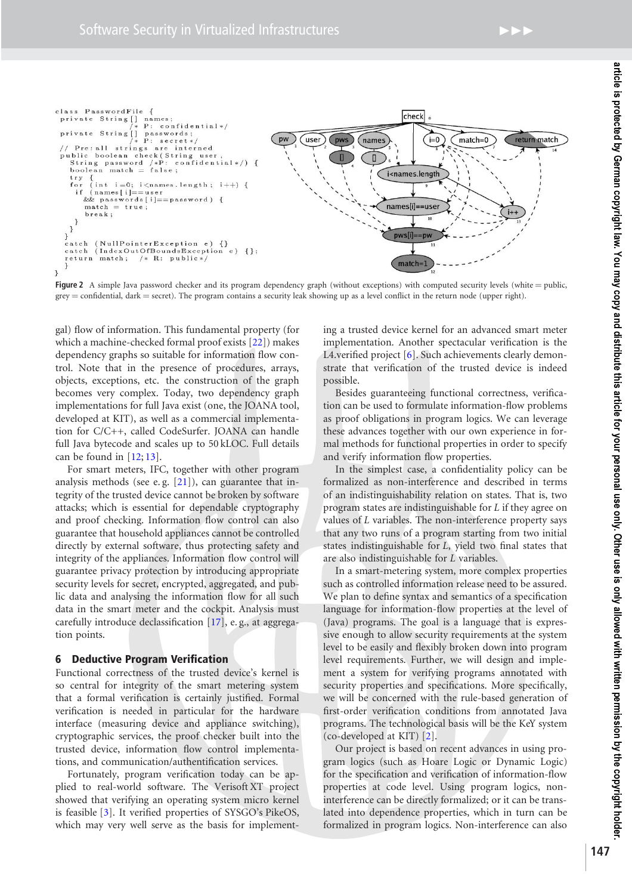

<span id="page-5-0"></span>Figure 2 A simple Java password checker and its program dependency graph (without exceptions) with computed security levels (white = public, grey = confidential, dark = secret). The program contains a security leak showing up as a level conflict in the return node (upper right).

gal) flow of information. This fundamental property (for which a machine-checked formal proof exists [\[22\]](#page-8-10)) makes dependency graphs so suitable for information flow control. Note that in the presence of procedures, arrays, objects, exceptions, etc. the construction of the graph becomes very complex. Today, two dependency graph implementations for full Java exist (one, the JOANA tool, developed at KIT), as well as a commercial implementation for C/C++, called CodeSurfer. JOANA can handle full Java bytecode and scales up to 50 kLOC. Full details can be found in  $[12; 13]$  $[12; 13]$  $[12; 13]$ .

For smart meters, IFC, together with other program analysis methods (see e. g. [\[21\]](#page-8-13)), can guarantee that integrity of the trusted device cannot be broken by software attacks; which is essential for dependable cryptography and proof checking. Information flow control can also guarantee that household appliances cannot be controlled directly by external software, thus protecting safety and integrity of the appliances. Information flow control will guarantee privacy protection by introducing appropriate security levels for secret, encrypted, aggregated, and public data and analysing the information flow for all such data in the smart meter and the cockpit. Analysis must carefully introduce declassification [\[17\]](#page-8-14), e. g., at aggregation points.

#### 6 Deductive Program Verification

Functional correctness of the trusted device's kernel is so central for integrity of the smart metering system that a formal verification is certainly justified. Formal verification is needed in particular for the hardware interface (measuring device and appliance switching), cryptographic services, the proof checker built into the trusted device, information flow control implementations, and communication/authentification services.

Fortunately, program verification today can be applied to real-world software. The Verisoft XT project showed that verifying an operating system micro kernel is feasible [\[3\]](#page-7-0). It verified properties of SYSGO's PikeOS, which may very well serve as the basis for implementing a trusted device kernel for an advanced smart meter implementation. Another spectacular verification is the L4.verified project [\[6\]](#page-8-15). Such achievements clearly demonstrate that verification of the trusted device is indeed possible.

Besides guaranteeing functional correctness, verification can be used to formulate information-flow problems as proof obligations in program logics. We can leverage these advances together with our own experience in formal methods for functional properties in order to specify and verify information flow properties.

In the simplest case, a confidentiality policy can be formalized as non-interference and described in terms of an indistinguishability relation on states. That is, two program states are indistinguishable for *L* if they agree on values of *L* variables. The non-interference property says that any two runs of a program starting from two initial states indistinguishable for *L*, yield two final states that are also indistinguishable for *L* variables.

In a smart-metering system, more complex properties such as controlled information release need to be assured. We plan to define syntax and semantics of a specification language for information-flow properties at the level of (Java) programs. The goal is a language that is expressive enough to allow security requirements at the system level to be easily and flexibly broken down into program level requirements. Further, we will design and implement a system for verifying programs annotated with security properties and specifications. More specifically, we will be concerned with the rule-based generation of first-order verification conditions from annotated Java programs. The technological basis will be the KeY system (co-developed at KIT) [\[2\]](#page-7-1).

Our project is based on recent advances in using program logics (such as Hoare Logic or Dynamic Logic) for the specification and verification of information-flow properties at code level. Using program logics, noninterference can be directly formalized; or it can be translated into dependence properties, which in turn can be formalized in program logics. Non-interference can also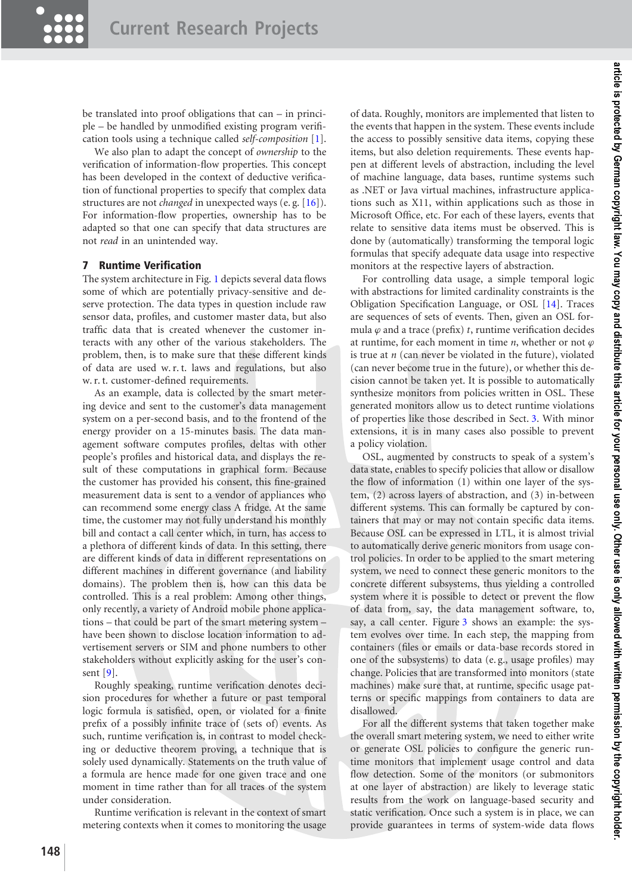be translated into proof obligations that can – in principle – be handled by unmodified existing program verification tools using a technique called *self-composition* [\[1\]](#page-7-2).

We also plan to adapt the concept of *ownership* to the verification of information-flow properties. This concept has been developed in the context of deductive verification of functional properties to specify that complex data structures are not *changed* in unexpected ways (e. g. [\[16\]](#page-8-16)). For information-flow properties, ownership has to be adapted so that one can specify that data structures are not *read* in an unintended way.

#### 7 Runtime Verification

The system architecture in Fig. [1](#page-2-0) depicts several data flows some of which are potentially privacy-sensitive and deserve protection. The data types in question include raw sensor data, profiles, and customer master data, but also traffic data that is created whenever the customer interacts with any other of the various stakeholders. The problem, then, is to make sure that these different kinds of data are used w. r. t. laws and regulations, but also w. r. t. customer-defined requirements.

As an example, data is collected by the smart metering device and sent to the customer's data management system on a per-second basis, and to the frontend of the energy provider on a 15-minutes basis. The data management software computes profiles, deltas with other people's profiles and historical data, and displays the result of these computations in graphical form. Because the customer has provided his consent, this fine-grained measurement data is sent to a vendor of appliances who can recommend some energy class A fridge. At the same time, the customer may not fully understand his monthly bill and contact a call center which, in turn, has access to a plethora of different kinds of data. In this setting, there are different kinds of data in different representations on different machines in different governance (and liability domains). The problem then is, how can this data be controlled. This is a real problem: Among other things, only recently, a variety of Android mobile phone applications – that could be part of the smart metering system – have been shown to disclose location information to advertisement servers or SIM and phone numbers to other stakeholders without explicitly asking for the user's consent [\[9\]](#page-8-17).

Roughly speaking, runtime verification denotes decision procedures for whether a future or past temporal logic formula is satisfied, open, or violated for a finite prefix of a possibly infinite trace of (sets of) events. As such, runtime verification is, in contrast to model checking or deductive theorem proving, a technique that is solely used dynamically. Statements on the truth value of a formula are hence made for one given trace and one moment in time rather than for all traces of the system under consideration.

Runtime verification is relevant in the context of smart metering contexts when it comes to monitoring the usage of data. Roughly, monitors are implemented that listen to the events that happen in the system. These events include the access to possibly sensitive data items, copying these items, but also deletion requirements. These events happen at different levels of abstraction, including the level of machine language, data bases, runtime systems such as .NET or Java virtual machines, infrastructure applications such as X11, within applications such as those in Microsoft Office, etc. For each of these layers, events that relate to sensitive data items must be observed. This is done by (automatically) transforming the temporal logic formulas that specify adequate data usage into respective monitors at the respective layers of abstraction.

For controlling data usage, a simple temporal logic with abstractions for limited cardinality constraints is the Obligation Specification Language, or OSL [\[14\]](#page-8-18). Traces are sequences of sets of events. Then, given an OSL formula  $\varphi$  and a trace (prefix)  $t$ , runtime verification decides at runtime, for each moment in time  $n$ , whether or not  $\varphi$ is true at *n* (can never be violated in the future), violated (can never become true in the future), or whether this decision cannot be taken yet. It is possible to automatically synthesize monitors from policies written in OSL. These generated monitors allow us to detect runtime violations of properties like those described in Sect. [3.](#page-2-2) With minor extensions, it is in many cases also possible to prevent a policy violation.

OSL, augmented by constructs to speak of a system's data state, enables to specify policies that allow or disallow the flow of information (1) within one layer of the system, (2) across layers of abstraction, and (3) in-between different systems. This can formally be captured by containers that may or may not contain specific data items. Because OSL can be expressed in LTL, it is almost trivial to automatically derive generic monitors from usage control policies. In order to be applied to the smart metering system, we need to connect these generic monitors to the concrete different subsystems, thus yielding a controlled system where it is possible to detect or prevent the flow of data from, say, the data management software, to, say, a call center. Figure [3](#page-7-3) shows an example: the system evolves over time. In each step, the mapping from containers (files or emails or data-base records stored in one of the subsystems) to data (e. g., usage profiles) may change. Policies that are transformed into monitors (state machines) make sure that, at runtime, specific usage patterns or specific mappings from containers to data are disallowed.

For all the different systems that taken together make the overall smart metering system, we need to either write or generate OSL policies to configure the generic runtime monitors that implement usage control and data flow detection. Some of the monitors (or submonitors at one layer of abstraction) are likely to leverage static results from the work on language-based security and static verification. Once such a system is in place, we can provide guarantees in terms of system-wide data flows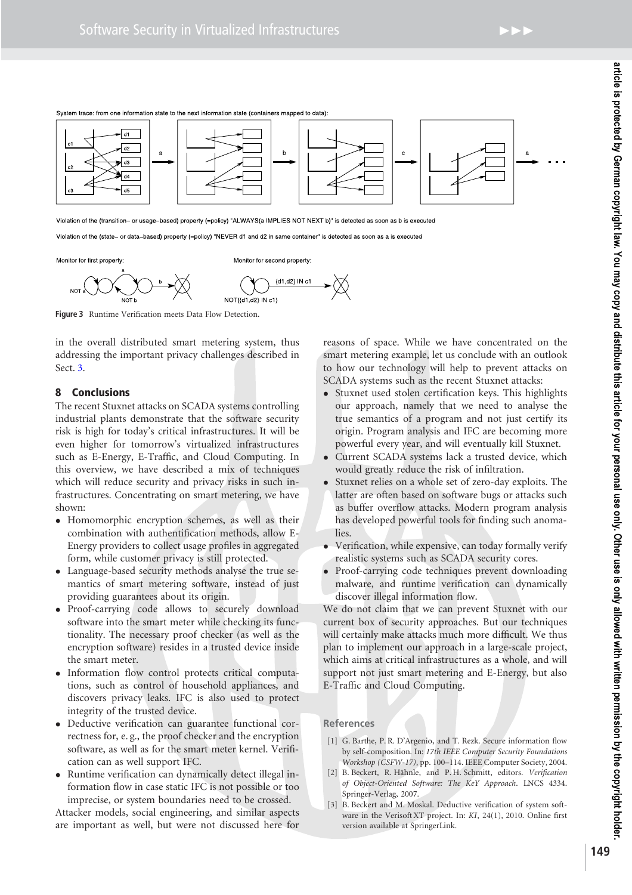

System trace: from one information state to the next information state (containers mapped to data):

Violation of the (transition- or usage-based) property (=policy) "ALWAYS(a IMPLIES NOT NEXT b)" is detected as soon as b is executed

Violation of the (state– or data–based) property (=policy) "NEVER d1 and d2 in same container" is detected as soon as a is executed



<span id="page-7-3"></span>**Figure 3** Runtime Verification meets Data Flow Detection.

in the overall distributed smart metering system, thus addressing the important privacy challenges described in Sect. [3.](#page-2-2)

#### 8 Conclusions

The recent Stuxnet attacks on SCADA systems controlling industrial plants demonstrate that the software security risk is high for today's critical infrastructures. It will be even higher for tomorrow's virtualized infrastructures such as E-Energy, E-Traffic, and Cloud Computing. In this overview, we have described a mix of techniques which will reduce security and privacy risks in such infrastructures. Concentrating on smart metering, we have shown:

- Homomorphic encryption schemes, as well as their combination with authentification methods, allow E-Energy providers to collect usage profiles in aggregated form, while customer privacy is still protected.
- Language-based security methods analyse the true semantics of smart metering software, instead of just providing guarantees about its origin.
- Proof-carrying code allows to securely download software into the smart meter while checking its functionality. The necessary proof checker (as well as the encryption software) resides in a trusted device inside the smart meter.
- Information flow control protects critical computations, such as control of household appliances, and discovers privacy leaks. IFC is also used to protect integrity of the trusted device.
- Deductive verification can guarantee functional correctness for, e. g., the proof checker and the encryption software, as well as for the smart meter kernel. Verification can as well support IFC.
- Runtime verification can dynamically detect illegal information flow in case static IFC is not possible or too imprecise, or system boundaries need to be crossed.

Attacker models, social engineering, and similar aspects are important as well, but were not discussed here for

reasons of space. While we have concentrated on the smart metering example, let us conclude with an outlook to how our technology will help to prevent attacks on SCADA systems such as the recent Stuxnet attacks:

- Stuxnet used stolen certification keys. This highlights our approach, namely that we need to analyse the true semantics of a program and not just certify its origin. Program analysis and IFC are becoming more powerful every year, and will eventually kill Stuxnet.
- Current SCADA systems lack a trusted device, which would greatly reduce the risk of infiltration.
- Stuxnet relies on a whole set of zero-day exploits. The latter are often based on software bugs or attacks such as buffer overflow attacks. Modern program analysis has developed powerful tools for finding such anomalies.
- Verification, while expensive, can today formally verify realistic systems such as SCADA security cores.
- Proof-carrying code techniques prevent downloading malware, and runtime verification can dynamically discover illegal information flow.

We do not claim that we can prevent Stuxnet with our current box of security approaches. But our techniques will certainly make attacks much more difficult. We thus plan to implement our approach in a large-scale project, which aims at critical infrastructures as a whole, and will support not just smart metering and E-Energy, but also E-Traffic and Cloud Computing.

#### <span id="page-7-2"></span>**References**

- [1] G. Barthe, P. R. D'Argenio, and T. Rezk. Secure information flow by self-composition. In: *17th IEEE Computer Security Foundations Workshop (CSFW-17)*, pp. 100–114. IEEE Computer Society, 2004.
- <span id="page-7-1"></span>[2] B. Beckert, R. Hähnle, and P. H. Schmitt, editors. *Verification of Object-Oriented Software: The KeY Approach*. LNCS 4334. Springer-Verlag, 2007.
- <span id="page-7-0"></span>[3] B. Beckert and M. Moskal. Deductive verification of system software in the Verisoft XT project. In: *KI*, 24(1), 2010. Online first version available at SpringerLink.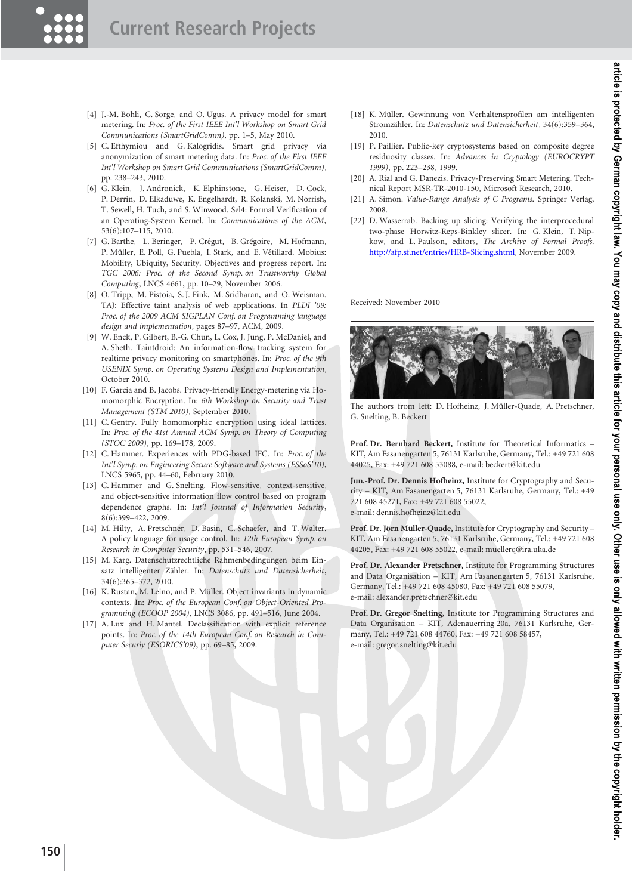- <span id="page-8-4"></span>[4] J.-M. Bohli, C. Sorge, and O. Ugus. A privacy model for smart metering. In: *Proc. of the First IEEE Int'l Workshop on Smart Grid Communications (SmartGridComm)*, pp. 1–5, May 2010.
- <span id="page-8-5"></span>[5] C. Efthymiou and G. Kalogridis. Smart grid privacy via anonymization of smart metering data. In: *Proc. of the First IEEE Int'l Workshop on Smart Grid Communications (SmartGridComm)*, pp. 238–243, 2010.
- <span id="page-8-15"></span>[6] G. Klein, J. Andronick, K. Elphinstone, G. Heiser, D. Cock, P. Derrin, D. Elkaduwe, K. Engelhardt, R. Kolanski, M. Norrish, T. Sewell, H. Tuch, and S. Winwood. Sel4: Formal Verification of an Operating-System Kernel. In: *Communications of the ACM*, 53(6):107–115, 2010.
- <span id="page-8-8"></span>[7] G. Barthe, L. Beringer, P. Crégut, B. Grégoire, M. Hofmann, P. Müller, E. Poll, G. Puebla, I. Stark, and E. Vétillard. Mobius: Mobility, Ubiquity, Security. Objectives and progress report. In: *TGC 2006: Proc. of the Second Symp. on Trustworthy Global Computing*, LNCS 4661, pp. 10–29, November 2006.
- <span id="page-8-9"></span>[8] O. Tripp, M. Pistoia, S. J. Fink, M. Sridharan, and O. Weisman. TAJ: Effective taint analysis of web applications. In *PLDI '09: Proc. of the 2009 ACM SIGPLAN Conf. on Programming language design and implementation*, pages 87–97, ACM, 2009.
- <span id="page-8-17"></span>[9] W. Enck, P. Gilbert, B.-G. Chun, L. Cox, J. Jung, P. McDaniel, and A. Sheth. Taintdroid: An information-flow tracking system for realtime privacy monitoring on smartphones. In: *Proc. of the 9th USENIX Symp. on Operating Systems Design and Implementation*, October 2010.
- <span id="page-8-3"></span>[10] F. Garcia and B. Jacobs. Privacy-friendly Energy-metering via Homomorphic Encryption. In: *6th Workshop on Security and Trust Management (STM 2010)*, September 2010.
- <span id="page-8-7"></span>[11] C. Gentry. Fully homomorphic encryption using ideal lattices. In: *Proc. of the 41st Annual ACM Symp. on Theory of Computing (STOC 2009)*, pp. 169–178, 2009.
- <span id="page-8-11"></span>[12] C. Hammer. Experiences with PDG-based IFC. In: *Proc. of the Int'l Symp. on Engineering Secure Software and Systems (ESSoS'10)*, LNCS 5965, pp. 44–60, February 2010.
- <span id="page-8-12"></span>[13] C. Hammer and G. Snelting. Flow-sensitive, context-sensitive, and object-sensitive information flow control based on program dependence graphs. In: *Int'l Journal of Information Security*, 8(6):399–422, 2009.
- <span id="page-8-18"></span>[14] M. Hilty, A. Pretschner, D. Basin, C. Schaefer, and T. Walter. A policy language for usage control. In: *12th European Symp. on Research in Computer Security*, pp. 531–546, 2007.
- <span id="page-8-0"></span>[15] M. Karg. Datenschutzrechtliche Rahmenbedingungen beim Einsatz intelligenter Zähler. In: *Datenschutz und Datensicherheit*, 34(6):365–372, 2010.
- <span id="page-8-16"></span>[16] K. Rustan, M. Leino, and P. Müller. Object invariants in dynamic contexts. In: *Proc. of the European Conf. on Object-Oriented Programming (ECOOP 2004)*, LNCS 3086, pp. 491–516, June 2004.
- <span id="page-8-14"></span>[17] A. Lux and H. Mantel. Declassification with explicit reference points. In: *Proc. of the 14th European Conf. on Research in Computer Securiy (ESORICS'09)*, pp. 69–85, 2009.
- <span id="page-8-1"></span>[18] K. Müller. Gewinnung von Verhaltensprofilen am intelligenten Stromzähler. In: *Datenschutz und Datensicherheit*, 34(6):359–364, 2010.
- <span id="page-8-2"></span>[19] P. Paillier. Public-key cryptosystems based on composite degree residuosity classes. In: *Advances in Cryptology (EUROCRYPT 1999)*, pp. 223–238, 1999.
- <span id="page-8-6"></span>[20] A. Rial and G. Danezis. Privacy-Preserving Smart Metering. Technical Report MSR-TR-2010-150, Microsoft Research, 2010.
- <span id="page-8-13"></span><span id="page-8-10"></span>[21] A. Simon. *Value-Range Analysis of C Programs*. Springer Verlag, 2008.
- [22] D. Wasserrab. Backing up slicing: Verifying the interprocedural two-phase Horwitz-Reps-Binkley slicer. In: G. Klein, T. Nipkow, and L. Paulson, editors, *The Archive of Formal Proofs*. [http://afp.sf.net/entries/HRB-Slicing.shtml,](http://afp.sf.net/entries/HRB-Slicing.shtml) November 2009.

Received: November 2010



The authors from left: D. Hofheinz, J. Müller-Quade, A. Pretschner, G. Snelting, B. Beckert

**Prof. Dr. Bernhard Beckert,** Institute for Theoretical Informatics – KIT, Am Fasanengarten 5, 76131 Karlsruhe, Germany, Tel.: +49 721 608 44025, Fax: +49 721 608 53088, e-mail: [beckert@kit.edu](mailto:beckert@kit.edu)

**Jun.-Prof. Dr. Dennis Hofheinz,** Institute for Cryptography and Security – KIT, Am Fasanengarten 5, 76131 Karlsruhe, Germany, Tel.: +49 721 608 45271, Fax: +49 721 608 55022, e-mail: dennis[.hofheinz@kit.edu](mailto:hofheinz@kit.edu)

**Prof. Dr. Jörn Müller-Quade,** Institute for Cryptography and Security – KIT, Am Fasanengarten 5, 76131 Karlsruhe, Germany, Tel.: +49 721 608 44205, Fax: +49 721 608 55022, e-mail: [muellerq@ira.uka.de](mailto:muellerq@ira.uka.de)

**Prof. Dr. Alexander Pretschner,** Institute for Programming Structures and Data Organisation – KIT, Am Fasanengarten 5, 76131 Karlsruhe, Germany, Tel.: +49 721 608 45080, Fax: +49 721 608 55079, e-mail: alexander[.pretschner@kit.edu](mailto:pretschner@kit.edu)

**Prof. Dr. Gregor Snelting,** Institute for Programming Structures and Data Organisation – KIT, Adenauerring 20a, 76131 Karlsruhe, Germany, Tel.: +49 721 608 44760, Fax: +49 721 608 58457, e-mail: gregor.[snelting@kit.edu](mailto:snelting@kit.edu)